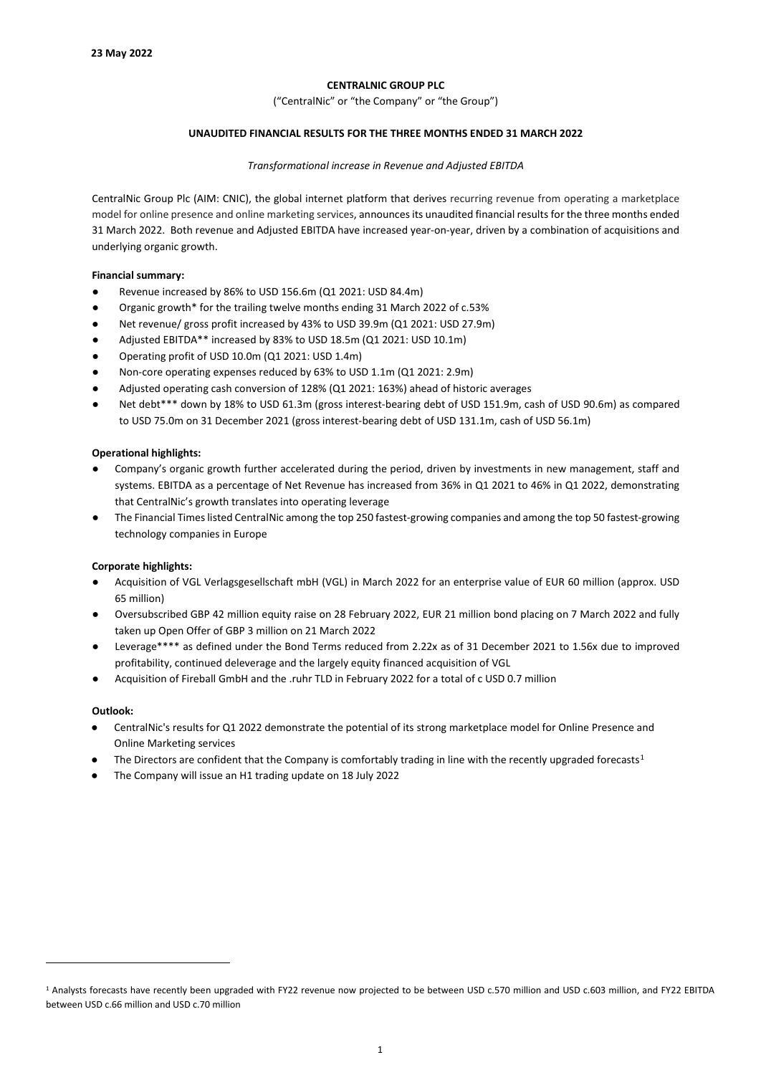# **CENTRALNIC GROUP PLC**

("CentralNic" or "the Company" or "the Group")

# **UNAUDITED FINANCIAL RESULTS FOR THE THREE MONTHS ENDED 31 MARCH 2022**

## *Transformational increase in Revenue and Adjusted EBITDA*

CentralNic Group Plc (AIM: CNIC), the global internet platform that derives recurring revenue from operating a marketplace model for online presence and online marketing services, announces its unaudited financial results for the three months ended 31 March 2022. Both revenue and Adjusted EBITDA have increased year-on-year, driven by a combination of acquisitions and underlying organic growth.

# **Financial summary:**

- Revenue increased by 86% to USD 156.6m (Q1 2021: USD 84.4m)
- Organic growth\* for the trailing twelve months ending 31 March 2022 of c.53%
- Net revenue/ gross profit increased by 43% to USD 39.9m (Q1 2021: USD 27.9m)
- Adjusted EBITDA\*\* increased by 83% to USD 18.5m (Q1 2021: USD 10.1m)
- Operating profit of USD 10.0m (Q1 2021: USD 1.4m)
- Non-core operating expenses reduced by 63% to USD 1.1m (Q1 2021: 2.9m)
- Adjusted operating cash conversion of 128% (Q1 2021: 163%) ahead of historic averages
- Net debt\*\*\* down by 18% to USD 61.3m (gross interest-bearing debt of USD 151.9m, cash of USD 90.6m) as compared to USD 75.0m on 31 December 2021 (gross interest-bearing debt of USD 131.1m, cash of USD 56.1m)

# **Operational highlights:**

- Company's organic growth further accelerated during the period, driven by investments in new management, staff and systems. EBITDA as a percentage of Net Revenue has increased from 36% in Q1 2021 to 46% in Q1 2022, demonstrating that CentralNic's growth translates into operating leverage
- The Financial Times listed CentralNic among the top 250 fastest-growing companies and among the top 50 fastest-growing technology companies in Europe

# **Corporate highlights:**

- Acquisition of VGL Verlagsgesellschaft mbH (VGL) in March 2022 for an enterprise value of EUR 60 million (approx. USD 65 million)
- Oversubscribed GBP 42 million equity raise on 28 February 2022, EUR 21 million bond placing on 7 March 2022 and fully taken up Open Offer of GBP 3 million on 21 March 2022
- Leverage\*\*\*\* as defined under the Bond Terms reduced from 2.22x as of 31 December 2021 to 1.56x due to improved profitability, continued deleverage and the largely equity financed acquisition of VGL
- Acquisition of Fireball GmbH and the .ruhr TLD in February 2022 for a total of c USD 0.7 million

# **Outlook:**

- CentralNic's results for Q1 2022 demonstrate the potential of its strong marketplace model for Online Presence and Online Marketing services
- The Directors are confident that the Company is comfortably trading in line with the recently upgraded forecasts<sup>1</sup>
- The Company will issue an H1 trading update on 18 July 2022

<span id="page-0-0"></span><sup>1</sup> Analysts forecasts have recently been upgraded with FY22 revenue now projected to be between USD c.570 million and USD c.603 million, and FY22 EBITDA between USD c.66 million and USD c.70 million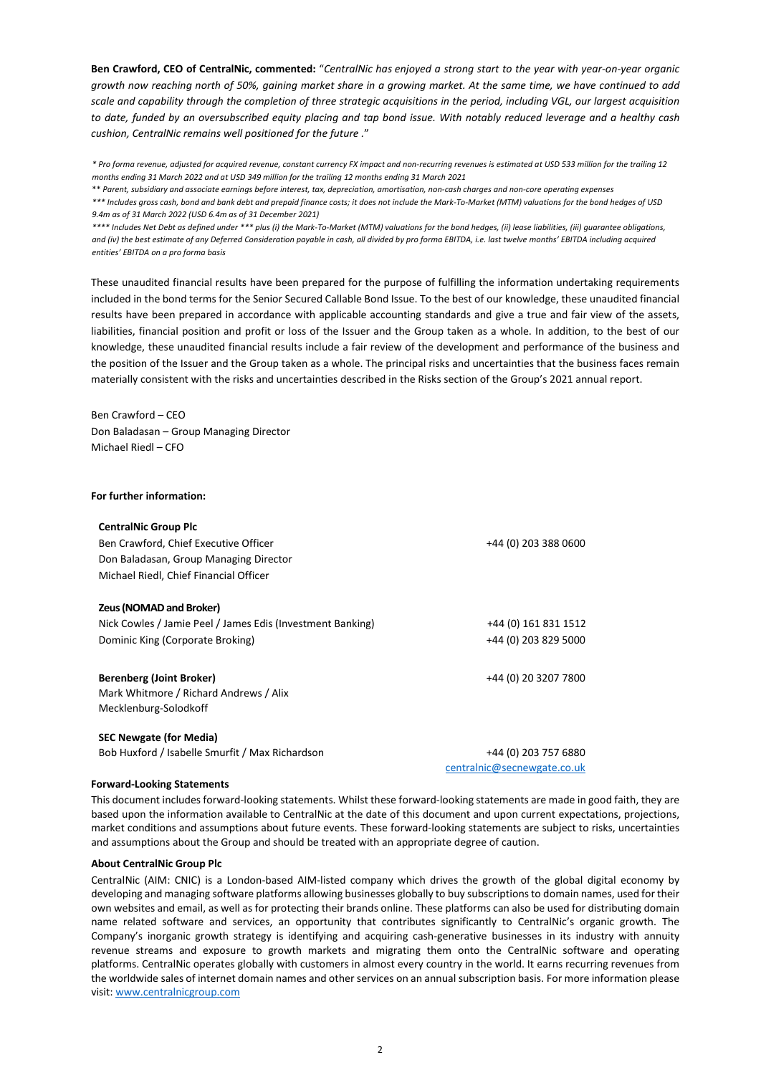**Ben Crawford, CEO of CentralNic, commented:** "*CentralNic has enjoyed a strong start to the year with year-on-year organic growth now reaching north of 50%, gaining market share in a growing market. At the same time, we have continued to add scale and capability through the completion of three strategic acquisitions in the period, including VGL, our largest acquisition to date, funded by an oversubscribed equity placing and tap bond issue. With notably reduced leverage and a healthy cash cushion, CentralNic remains well positioned for the future .*"

*\* Pro forma revenue, adjusted for acquired revenue, constant currency FX impact and non-recurring revenues is estimated at USD 533 million for the trailing 12 months ending 31 March 2022 and at USD 349 million for the trailing 12 months ending 31 March 2021*

\*\* *Parent, subsidiary and associate earnings before interest, tax, depreciation, amortisation, non-cash charges and non-core operating expenses*

*\*\*\* Includes gross cash, bond and bank debt and prepaid finance costs; it does not include the Mark-To-Market (MTM) valuations for the bond hedges of USD 9.4m as of 31 March 2022 (USD 6.4m as of 31 December 2021)*

*\*\*\*\* Includes Net Debt as defined under \*\*\* plus (i) the Mark-To-Market (MTM) valuations for the bond hedges, (ii) lease liabilities, (iii) guarantee obligations, and (iv) the best estimate of any Deferred Consideration payable in cash, all divided by pro forma EBITDA, i.e. last twelve months' EBITDA including acquired entities' EBITDA on a pro forma basis*

These unaudited financial results have been prepared for the purpose of fulfilling the information undertaking requirements included in the bond terms for the Senior Secured Callable Bond Issue. To the best of our knowledge, these unaudited financial results have been prepared in accordance with applicable accounting standards and give a true and fair view of the assets, liabilities, financial position and profit or loss of the Issuer and the Group taken as a whole. In addition, to the best of our knowledge, these unaudited financial results include a fair review of the development and performance of the business and the position of the Issuer and the Group taken as a whole. The principal risks and uncertainties that the business faces remain materially consistent with the risks and uncertainties described in the Risks section of the Group's 2021 annual report.

Ben Crawford – CEO Don Baladasan – Group Managing Director Michael Riedl – CFO

#### **For further information:**

| <b>CentralNic Group Plc</b>                                |                             |
|------------------------------------------------------------|-----------------------------|
| Ben Crawford, Chief Executive Officer                      | +44 (0) 203 388 0600        |
| Don Baladasan, Group Managing Director                     |                             |
| Michael Riedl, Chief Financial Officer                     |                             |
| Zeus (NOMAD and Broker)                                    |                             |
| Nick Cowles / Jamie Peel / James Edis (Investment Banking) | +44 (0) 161 831 1512        |
| Dominic King (Corporate Broking)                           | +44 (0) 203 829 5000        |
| <b>Berenberg (Joint Broker)</b>                            | +44 (0) 20 3207 7800        |
| Mark Whitmore / Richard Andrews / Alix                     |                             |
| Mecklenburg-Solodkoff                                      |                             |
| <b>SEC Newgate (for Media)</b>                             |                             |
| Bob Huxford / Isabelle Smurfit / Max Richardson            | +44 (0) 203 757 6880        |
|                                                            | centralnic@secnewgate.co.uk |

### **Forward-Looking Statements**

This document includes forward-looking statements. Whilst these forward-looking statements are made in good faith, they are based upon the information available to CentralNic at the date of this document and upon current expectations, projections, market conditions and assumptions about future events. These forward-looking statements are subject to risks, uncertainties and assumptions about the Group and should be treated with an appropriate degree of caution.

#### **About CentralNic Group Plc**

CentralNic (AIM: CNIC) is a London-based AIM-listed company which drives the growth of the global digital economy by developing and managing software platforms allowing businesses globally to buy subscriptions to domain names, used for their own websites and email, as well as for protecting their brands online. These platforms can also be used for distributing domain name related software and services, an opportunity that contributes significantly to CentralNic's organic growth. The Company's inorganic growth strategy is identifying and acquiring cash-generative businesses in its industry with annuity revenue streams and exposure to growth markets and migrating them onto the CentralNic software and operating platforms. CentralNic operates globally with customers in almost every country in the world. It earns recurring revenues from the worldwide sales of internet domain names and other services on an annual subscription basis. For more information please visit: [www.centralnicgroup.com](http://www.centralnicgroup.com/)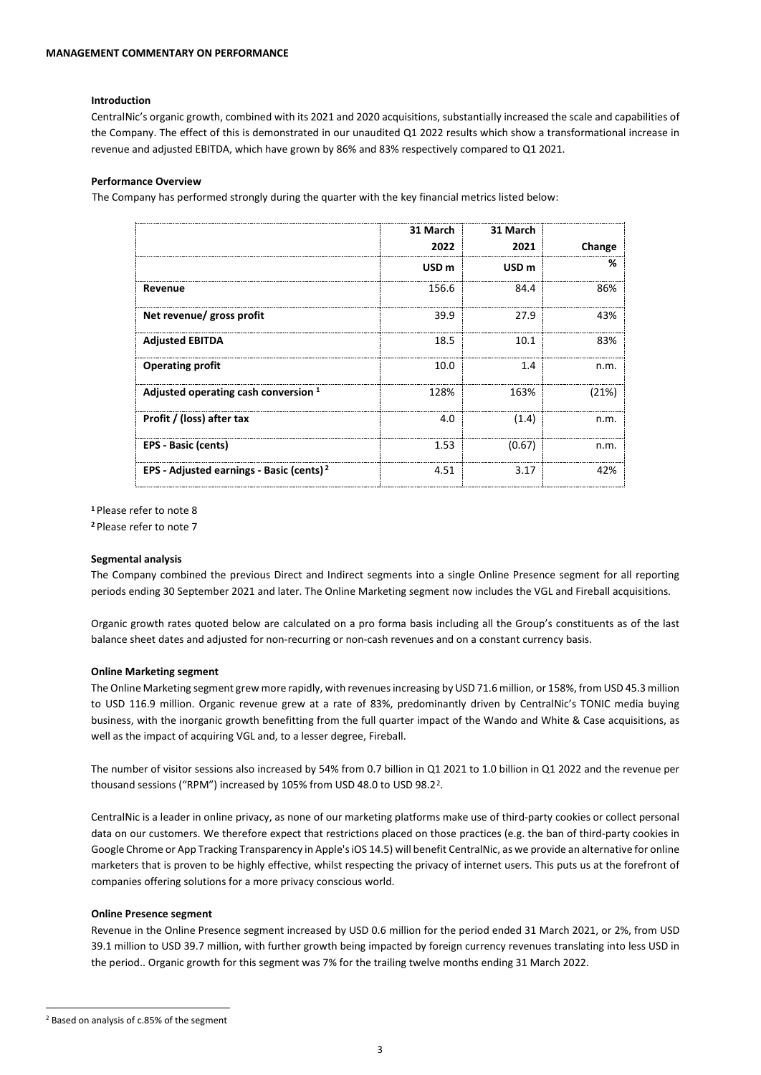## **Introduction**

CentralNic's organic growth, combined with its 2021 and 2020 acquisitions, substantially increased the scale and capabilities of the Company. The effect of this is demonstrated in our unaudited Q1 2022 results which show a transformational increase in revenue and adjusted EBITDA, which have grown by 86% and 83% respectively compared to Q1 2021.

## **Performance Overview**

The Company has performed strongly during the quarter with the key financial metrics listed below:

|                                                      | 31 March         | 31 March         |        |
|------------------------------------------------------|------------------|------------------|--------|
|                                                      | 2022             | 2021             | Change |
|                                                      | USD <sub>m</sub> | USD <sub>m</sub> | %      |
| Revenue                                              | 156.6            | 84.4             | 86%    |
| Net revenue/ gross profit                            | 39.9             | 27.9             | 43%    |
| <b>Adjusted EBITDA</b>                               | 18.5             | 10.1             | 83%    |
| <b>Operating profit</b>                              | 10.0             | 1.4              | n.m.   |
| Adjusted operating cash conversion $1$               | 128%             | 163%             | (21%)  |
| Profit / (loss) after tax                            | 4.0              | (1.4)            | n.m.   |
| EPS - Basic (cents)                                  | 1.53             | (0.67)           | n.m.   |
| EPS - Adjusted earnings - Basic (cents) <sup>2</sup> | 4.51             | 3.17             | 42%    |

**<sup>1</sup>**Please refer to note 8

**<sup>2</sup>** Please refer to note 7

#### **Segmental analysis**

The Company combined the previous Direct and Indirect segments into a single Online Presence segment for all reporting periods ending 30 September 2021 and later. The Online Marketing segment now includes the VGL and Fireball acquisitions.

Organic growth rates quoted below are calculated on a pro forma basis including all the Group's constituents as of the last balance sheet dates and adjusted for non-recurring or non-cash revenues and on a constant currency basis.

#### **Online Marketing segment**

The Online Marketing segment grew more rapidly, with revenues increasing by USD 71.6 million, or 158%, from USD 45.3 million to USD 116.9 million. Organic revenue grew at a rate of 83%, predominantly driven by CentralNic's TONIC media buying business, with the inorganic growth benefitting from the full quarter impact of the Wando and White & Case acquisitions, as well as the impact of acquiring VGL and, to a lesser degree, Fireball.

The number of visitor sessions also increased by 54% from 0.7 billion in Q1 2021 to 1.0 billion in Q1 2022 and the revenue per thousand sessions ("RPM") increased by 105% from USD 48.0 to USD 98.2[2.](#page-2-0)

CentralNic is a leader in online privacy, as none of our marketing platforms make use of third-party cookies or collect personal data on our customers. We therefore expect that restrictions placed on those practices (e.g. the ban of third-party cookies in Google Chrome or App Tracking Transparency in Apple's iOS 14.5) will benefit CentralNic, as we provide an alternative for online marketers that is proven to be highly effective, whilst respecting the privacy of internet users. This puts us at the forefront of companies offering solutions for a more privacy conscious world.

# **Online Presence segment**

<span id="page-2-0"></span>Revenue in the Online Presence segment increased by USD 0.6 million for the period ended 31 March 2021, or 2%, from USD 39.1 million to USD 39.7 million, with further growth being impacted by foreign currency revenues translating into less USD in the period.. Organic growth for this segment was 7% for the trailing twelve months ending 31 March 2022.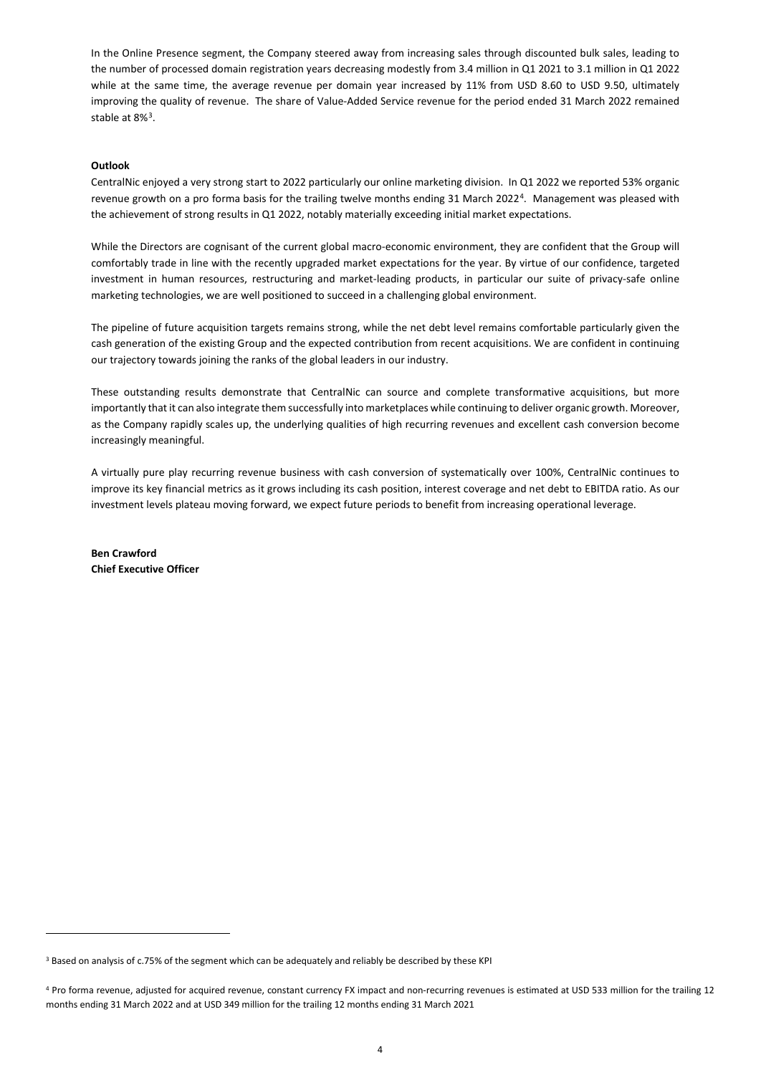In the Online Presence segment, the Company steered away from increasing sales through discounted bulk sales, leading to the number of processed domain registration years decreasing modestly from 3.4 million in Q1 2021 to 3.1 million in Q1 2022 while at the same time, the average revenue per domain year increased by 11% from USD 8.60 to USD 9.50, ultimately improving the quality of revenue. The share of Value-Added Service revenue for the period ended 31 March 2022 remained stable at 8%[3](#page-3-0).

## **Outlook**

CentralNic enjoyed a very strong start to 2022 particularly our online marketing division. In Q1 2022 we reported 53% organic revenue growth on a pro forma basis for the trailing twelve months ending 31 March 2022[4](#page-3-1). Management was pleased with the achievement of strong results in Q1 2022, notably materially exceeding initial market expectations.

While the Directors are cognisant of the current global macro-economic environment, they are confident that the Group will comfortably trade in line with the recently upgraded market expectations for the year. By virtue of our confidence, targeted investment in human resources, restructuring and market-leading products, in particular our suite of privacy-safe online marketing technologies, we are well positioned to succeed in a challenging global environment.

The pipeline of future acquisition targets remains strong, while the net debt level remains comfortable particularly given the cash generation of the existing Group and the expected contribution from recent acquisitions. We are confident in continuing our trajectory towards joining the ranks of the global leaders in our industry.

These outstanding results demonstrate that CentralNic can source and complete transformative acquisitions, but more importantly that it can also integrate them successfully into marketplaces while continuing to deliver organic growth. Moreover, as the Company rapidly scales up, the underlying qualities of high recurring revenues and excellent cash conversion become increasingly meaningful.

A virtually pure play recurring revenue business with cash conversion of systematically over 100%, CentralNic continues to improve its key financial metrics as it grows including its cash position, interest coverage and net debt to EBITDA ratio. As our investment levels plateau moving forward, we expect future periods to benefit from increasing operational leverage.

**Ben Crawford Chief Executive Officer**

<span id="page-3-0"></span><sup>3</sup> Based on analysis of c.75% of the segment which can be adequately and reliably be described by these KPI

<span id="page-3-1"></span><sup>4</sup> Pro forma revenue, adjusted for acquired revenue, constant currency FX impact and non-recurring revenues is estimated at USD 533 million for the trailing 12 months ending 31 March 2022 and at USD 349 million for the trailing 12 months ending 31 March 2021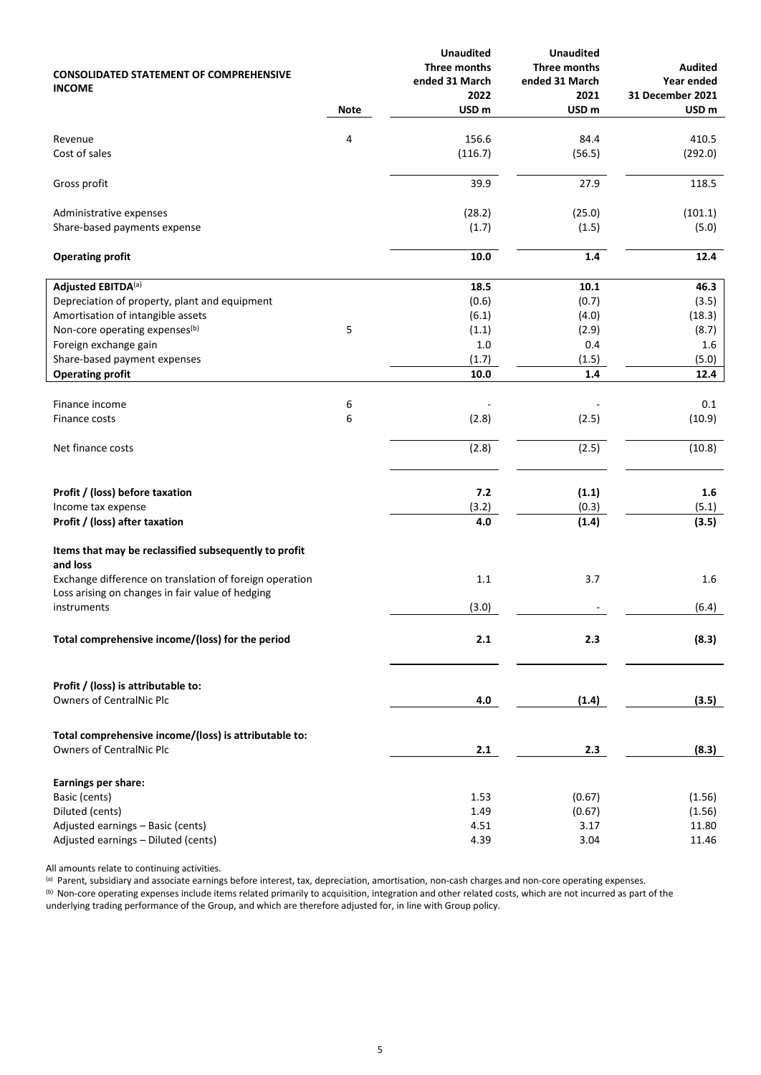| <b>CONSOLIDATED STATEMENT OF COMPREHENSIVE</b><br><b>INCOME</b>                                             | <b>Note</b> | <b>Unaudited</b><br>Three months<br>ended 31 March<br>2022<br>USD <sub>m</sub> | <b>Unaudited</b><br>Three months<br>ended 31 March<br>2021<br>USD <sub>m</sub> | <b>Audited</b><br>Year ended<br>31 December 2021<br>USD <sub>m</sub> |
|-------------------------------------------------------------------------------------------------------------|-------------|--------------------------------------------------------------------------------|--------------------------------------------------------------------------------|----------------------------------------------------------------------|
|                                                                                                             |             |                                                                                |                                                                                |                                                                      |
| Revenue                                                                                                     | 4           | 156.6                                                                          | 84.4                                                                           | 410.5                                                                |
| Cost of sales                                                                                               |             | (116.7)                                                                        | (56.5)                                                                         | (292.0)                                                              |
| Gross profit                                                                                                |             | 39.9                                                                           | 27.9                                                                           | 118.5                                                                |
| Administrative expenses                                                                                     |             | (28.2)                                                                         | (25.0)                                                                         | (101.1)                                                              |
| Share-based payments expense                                                                                |             | (1.7)                                                                          | (1.5)                                                                          | (5.0)                                                                |
| <b>Operating profit</b>                                                                                     |             | 10.0                                                                           | $1.4\,$                                                                        | 12.4                                                                 |
| Adjusted EBITDA(a)                                                                                          |             | 18.5                                                                           | 10.1                                                                           | 46.3                                                                 |
| Depreciation of property, plant and equipment                                                               |             | (0.6)                                                                          | (0.7)                                                                          | (3.5)                                                                |
| Amortisation of intangible assets                                                                           |             | (6.1)                                                                          | (4.0)                                                                          | (18.3)                                                               |
| Non-core operating expenses(b)                                                                              | 5           | (1.1)                                                                          | (2.9)                                                                          | (8.7)                                                                |
| Foreign exchange gain                                                                                       |             | $1.0\,$                                                                        | 0.4                                                                            | 1.6                                                                  |
| Share-based payment expenses                                                                                |             | (1.7)                                                                          | (1.5)                                                                          | (5.0)                                                                |
| <b>Operating profit</b>                                                                                     |             | 10.0                                                                           | 1.4                                                                            | 12.4                                                                 |
| Finance income                                                                                              | 6           |                                                                                |                                                                                | 0.1                                                                  |
| Finance costs                                                                                               | 6           | (2.8)                                                                          | (2.5)                                                                          | (10.9)                                                               |
| Net finance costs                                                                                           |             | (2.8)                                                                          | (2.5)                                                                          | (10.8)                                                               |
| Profit / (loss) before taxation                                                                             |             | 7.2                                                                            | (1.1)                                                                          | 1.6                                                                  |
| Income tax expense                                                                                          |             | (3.2)                                                                          | (0.3)                                                                          | (5.1)                                                                |
| Profit / (loss) after taxation                                                                              |             | 4.0                                                                            | (1.4)                                                                          | (3.5)                                                                |
| Items that may be reclassified subsequently to profit<br>and loss                                           |             |                                                                                |                                                                                |                                                                      |
| Exchange difference on translation of foreign operation<br>Loss arising on changes in fair value of hedging |             | $1.1\,$                                                                        | 3.7                                                                            | 1.6                                                                  |
| instruments                                                                                                 |             | (3.0)                                                                          |                                                                                | (6.4)                                                                |
| Total comprehensive income/(loss) for the period                                                            |             | 2.1                                                                            | 2.3                                                                            | (8.3)                                                                |
| Profit / (loss) is attributable to:<br><b>Owners of CentralNic Plc</b>                                      |             | 4.0                                                                            | (1.4)                                                                          | (3.5)                                                                |
|                                                                                                             |             |                                                                                |                                                                                |                                                                      |
| Total comprehensive income/(loss) is attributable to:<br><b>Owners of CentralNic Plc</b>                    |             | 2.1                                                                            | 2.3                                                                            | (8.3)                                                                |
| Earnings per share:                                                                                         |             |                                                                                |                                                                                |                                                                      |
| Basic (cents)                                                                                               |             | 1.53                                                                           | (0.67)                                                                         | (1.56)                                                               |
| Diluted (cents)                                                                                             |             | 1.49                                                                           | (0.67)                                                                         | (1.56)                                                               |
| Adjusted earnings - Basic (cents)                                                                           |             | 4.51                                                                           | 3.17                                                                           | 11.80                                                                |
| Adjusted earnings - Diluted (cents)                                                                         |             | 4.39                                                                           | 3.04                                                                           | 11.46                                                                |

All amounts relate to continuing activities.

<sup>(a)</sup> Parent, subsidiary and associate earnings before interest, tax, depreciation, amortisation, non-cash charges and non-core operating expenses.

 $^{(b)}$  Non-core operating expenses include items related primarily to acquisition, integration and other related costs, which are not incurred as part of the underlying trading performance of the Group, and which are therefore adjusted for, in line with Group policy.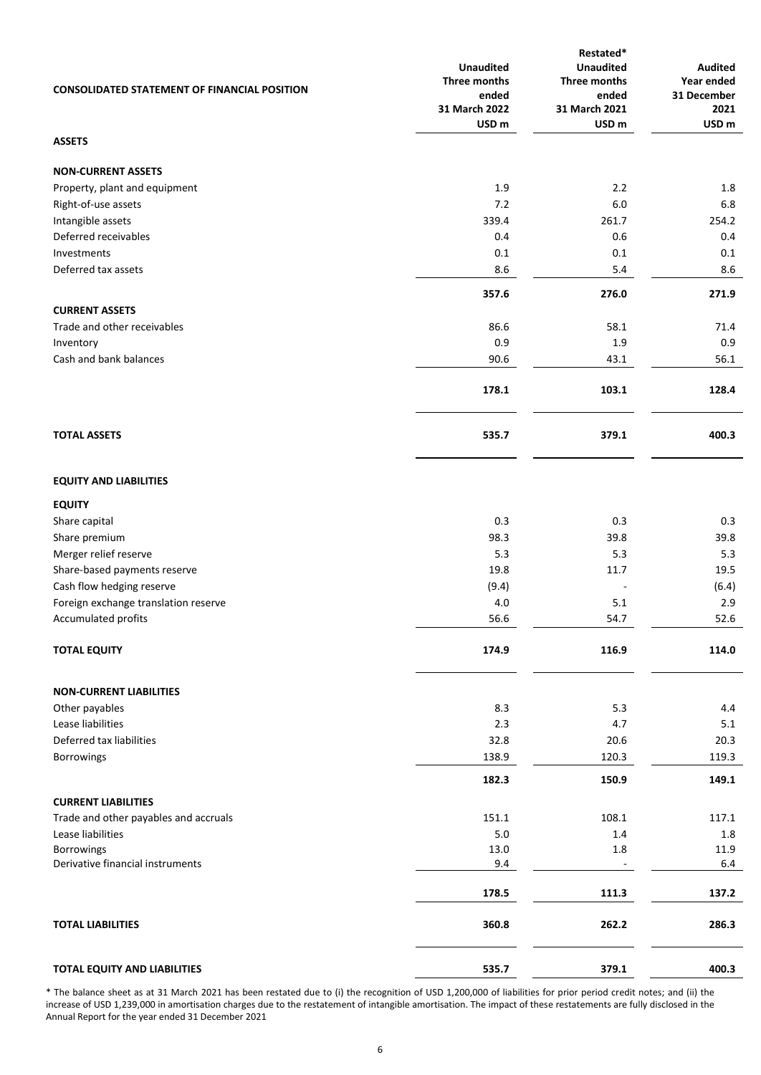| <b>CONSOLIDATED STATEMENT OF FINANCIAL POSITION</b> | <b>Unaudited</b><br>Three months<br>ended<br>31 March 2022<br>USD <sub>m</sub> | Restated*<br><b>Unaudited</b><br>Three months<br>ended<br>31 March 2021<br>USD <sub>m</sub> | Audited<br>Year ended<br>31 December<br>2021<br>USD <sub>m</sub> |
|-----------------------------------------------------|--------------------------------------------------------------------------------|---------------------------------------------------------------------------------------------|------------------------------------------------------------------|
| <b>ASSETS</b>                                       |                                                                                |                                                                                             |                                                                  |
| <b>NON-CURRENT ASSETS</b>                           |                                                                                |                                                                                             |                                                                  |
| Property, plant and equipment                       | 1.9                                                                            | 2.2                                                                                         | 1.8                                                              |
| Right-of-use assets                                 | 7.2                                                                            | 6.0                                                                                         | 6.8                                                              |
| Intangible assets                                   | 339.4                                                                          | 261.7                                                                                       | 254.2                                                            |
| Deferred receivables                                | 0.4                                                                            | 0.6                                                                                         | 0.4                                                              |
| Investments                                         | 0.1                                                                            | 0.1                                                                                         | 0.1                                                              |
| Deferred tax assets                                 | 8.6                                                                            | 5.4                                                                                         | 8.6                                                              |
| <b>CURRENT ASSETS</b>                               | 357.6                                                                          | 276.0                                                                                       | 271.9                                                            |
| Trade and other receivables                         | 86.6                                                                           | 58.1                                                                                        | 71.4                                                             |
| Inventory                                           | 0.9                                                                            | 1.9                                                                                         | 0.9                                                              |
| Cash and bank balances                              | 90.6                                                                           | 43.1                                                                                        | 56.1                                                             |
|                                                     | 178.1                                                                          | 103.1                                                                                       | 128.4                                                            |
| <b>TOTAL ASSETS</b>                                 | 535.7                                                                          | 379.1                                                                                       | 400.3                                                            |
| <b>EQUITY AND LIABILITIES</b>                       |                                                                                |                                                                                             |                                                                  |
| <b>EQUITY</b>                                       |                                                                                |                                                                                             |                                                                  |
| Share capital                                       | 0.3                                                                            | 0.3                                                                                         | 0.3                                                              |
| Share premium                                       | 98.3                                                                           | 39.8                                                                                        | 39.8                                                             |
| Merger relief reserve                               | 5.3                                                                            | 5.3                                                                                         | 5.3                                                              |
| Share-based payments reserve                        | 19.8                                                                           | 11.7                                                                                        | 19.5                                                             |
| Cash flow hedging reserve                           | (9.4)                                                                          |                                                                                             | (6.4)                                                            |
| Foreign exchange translation reserve                | 4.0                                                                            | 5.1                                                                                         | 2.9                                                              |
| Accumulated profits                                 | 56.6                                                                           | 54.7                                                                                        | 52.6                                                             |
| <b>TOTAL EQUITY</b>                                 | 174.9                                                                          | 116.9                                                                                       | 114.0                                                            |
| <b>NON-CURRENT LIABILITIES</b>                      |                                                                                |                                                                                             |                                                                  |
| Other payables                                      | 8.3                                                                            | 5.3                                                                                         | 4.4                                                              |
| Lease liabilities                                   | 2.3                                                                            | 4.7                                                                                         | 5.1                                                              |
| Deferred tax liabilities                            | 32.8                                                                           | 20.6                                                                                        | 20.3                                                             |
| Borrowings                                          | 138.9                                                                          | 120.3                                                                                       | 119.3                                                            |
|                                                     | 182.3                                                                          | 150.9                                                                                       | 149.1                                                            |
| <b>CURRENT LIABILITIES</b>                          |                                                                                |                                                                                             |                                                                  |
| Trade and other payables and accruals               | 151.1                                                                          | 108.1                                                                                       | 117.1                                                            |
| Lease liabilities                                   | 5.0                                                                            | 1.4                                                                                         | 1.8                                                              |
| Borrowings<br>Derivative financial instruments      | 13.0<br>9.4                                                                    | $1.8\,$<br>÷,                                                                               | 11.9<br>6.4                                                      |
|                                                     |                                                                                |                                                                                             |                                                                  |
|                                                     | 178.5                                                                          | 111.3                                                                                       | 137.2                                                            |
| <b>TOTAL LIABILITIES</b>                            | 360.8                                                                          | 262.2                                                                                       | 286.3                                                            |
| TOTAL EQUITY AND LIABILITIES                        | 535.7                                                                          | 379.1                                                                                       | 400.3                                                            |

\* The balance sheet as at 31 March 2021 has been restated due to (i) the recognition of USD 1,200,000 of liabilities for prior period credit notes; and (ii) the increase of USD 1,239,000 in amortisation charges due to the restatement of intangible amortisation. The impact of these restatements are fully disclosed in the Annual Report for the year ended 31 December 2021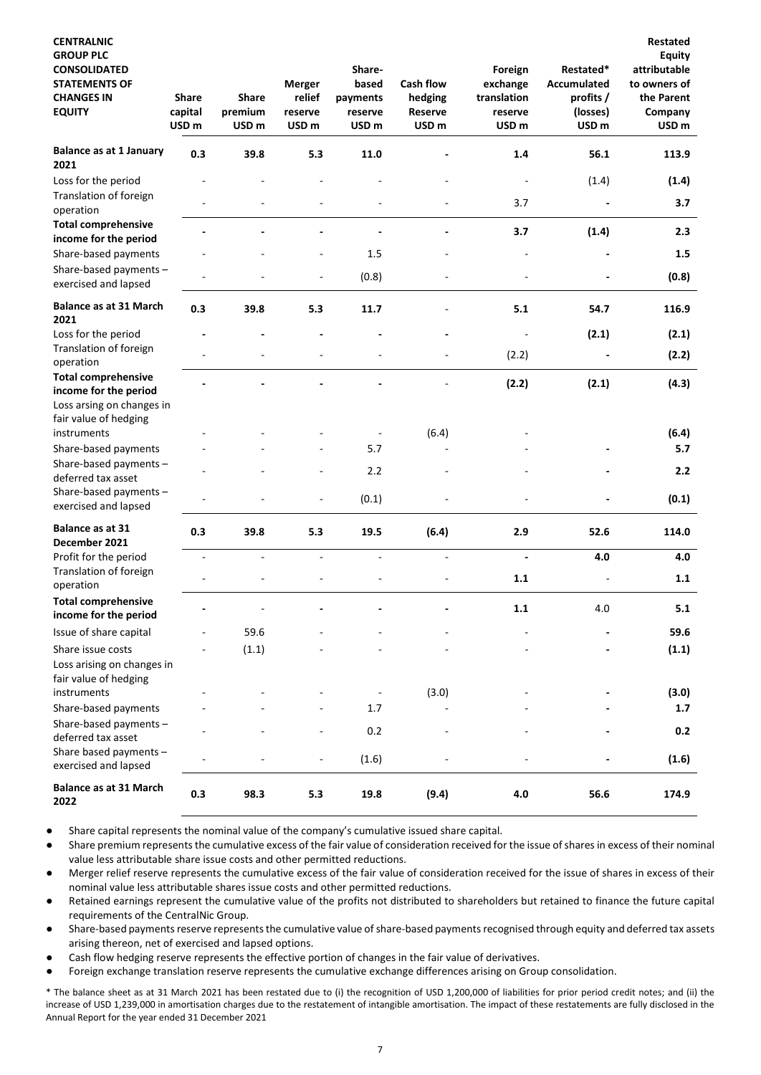| <b>CENTRALNIC</b><br><b>GROUP PLC</b><br><b>CONSOLIDATED</b><br><b>STATEMENTS OF</b><br><b>CHANGES IN</b><br><b>EQUITY</b> | <b>Share</b><br>capital<br>USD <sub>m</sub> | <b>Share</b><br>premium<br>USD <sub>m</sub> | <b>Merger</b><br>relief<br>reserve<br>USD <sub>m</sub> | Share-<br>based<br>payments<br>reserve<br>USD <sub>m</sub> | <b>Cash flow</b><br>hedging<br>Reserve<br>USD <sub>m</sub> | Foreign<br>exchange<br>translation<br>reserve<br>USD <sub>m</sub> | Restated*<br><b>Accumulated</b><br>profits /<br>(losses)<br>USD <sub>m</sub> | Restated<br>Equity<br>attributable<br>to owners of<br>the Parent<br>Company<br>USD <sub>m</sub> |
|----------------------------------------------------------------------------------------------------------------------------|---------------------------------------------|---------------------------------------------|--------------------------------------------------------|------------------------------------------------------------|------------------------------------------------------------|-------------------------------------------------------------------|------------------------------------------------------------------------------|-------------------------------------------------------------------------------------------------|
| <b>Balance as at 1 January</b><br>2021                                                                                     | 0.3                                         | 39.8                                        | 5.3                                                    | 11.0                                                       |                                                            | 1.4                                                               | 56.1                                                                         | 113.9                                                                                           |
| Loss for the period                                                                                                        |                                             |                                             |                                                        |                                                            |                                                            |                                                                   | (1.4)                                                                        | (1.4)                                                                                           |
| Translation of foreign<br>operation                                                                                        |                                             |                                             |                                                        |                                                            |                                                            | 3.7                                                               |                                                                              | 3.7                                                                                             |
| <b>Total comprehensive</b><br>income for the period                                                                        |                                             |                                             |                                                        |                                                            |                                                            | 3.7                                                               | (1.4)                                                                        | 2.3                                                                                             |
| Share-based payments                                                                                                       |                                             |                                             |                                                        | 1.5                                                        |                                                            |                                                                   |                                                                              | $1.5\,$                                                                                         |
| Share-based payments -<br>exercised and lapsed                                                                             |                                             |                                             |                                                        | (0.8)                                                      |                                                            |                                                                   |                                                                              | (0.8)                                                                                           |
| <b>Balance as at 31 March</b><br>2021                                                                                      | 0.3                                         | 39.8                                        | 5.3                                                    | 11.7                                                       |                                                            | 5.1                                                               | 54.7                                                                         | 116.9                                                                                           |
| Loss for the period                                                                                                        |                                             |                                             |                                                        |                                                            |                                                            |                                                                   | (2.1)                                                                        | (2.1)                                                                                           |
| Translation of foreign<br>operation                                                                                        |                                             |                                             |                                                        |                                                            |                                                            | (2.2)                                                             |                                                                              | (2.2)                                                                                           |
| <b>Total comprehensive</b><br>income for the period<br>Loss arsing on changes in<br>fair value of hedging                  |                                             |                                             |                                                        |                                                            |                                                            | (2.2)                                                             | (2.1)                                                                        | (4.3)                                                                                           |
| instruments                                                                                                                |                                             |                                             |                                                        |                                                            | (6.4)                                                      |                                                                   |                                                                              | (6.4)                                                                                           |
| Share-based payments                                                                                                       |                                             |                                             |                                                        | 5.7                                                        |                                                            |                                                                   |                                                                              | 5.7                                                                                             |
| Share-based payments -<br>deferred tax asset                                                                               |                                             |                                             |                                                        | 2.2                                                        |                                                            |                                                                   |                                                                              | 2.2                                                                                             |
| Share-based payments -<br>exercised and lapsed                                                                             |                                             |                                             | $\overline{\phantom{a}}$                               | (0.1)                                                      |                                                            |                                                                   |                                                                              | (0.1)                                                                                           |
| Balance as at 31<br>December 2021                                                                                          | 0.3                                         | 39.8                                        | 5.3                                                    | 19.5                                                       | (6.4)                                                      | 2.9                                                               | 52.6                                                                         | 114.0                                                                                           |
| Profit for the period                                                                                                      | $\blacksquare$                              | $\blacksquare$                              | ÷,                                                     | $\blacksquare$                                             | $\sim$                                                     | $\overline{\phantom{a}}$                                          | 4.0                                                                          | 4.0                                                                                             |
| Translation of foreign<br>operation                                                                                        |                                             |                                             |                                                        |                                                            |                                                            | 1.1                                                               |                                                                              | 1.1                                                                                             |
| <b>Total comprehensive</b><br>income for the period                                                                        |                                             |                                             |                                                        |                                                            |                                                            | 1.1                                                               | 4.0                                                                          | 5.1                                                                                             |
| Issue of share capital                                                                                                     |                                             | 59.6                                        |                                                        |                                                            |                                                            |                                                                   |                                                                              | 59.6                                                                                            |
| Share issue costs                                                                                                          |                                             | (1.1)                                       |                                                        |                                                            |                                                            |                                                                   |                                                                              | (1.1)                                                                                           |
| Loss arising on changes in<br>fair value of hedging                                                                        |                                             |                                             |                                                        |                                                            |                                                            |                                                                   |                                                                              |                                                                                                 |
| instruments                                                                                                                |                                             |                                             |                                                        |                                                            | (3.0)                                                      |                                                                   |                                                                              | (3.0)                                                                                           |
| Share-based payments<br>Share-based payments -                                                                             |                                             |                                             |                                                        | 1.7                                                        |                                                            |                                                                   |                                                                              | 1.7                                                                                             |
| deferred tax asset                                                                                                         |                                             |                                             |                                                        | 0.2                                                        |                                                            |                                                                   |                                                                              | $0.2\,$                                                                                         |
| Share based payments -<br>exercised and lapsed                                                                             |                                             |                                             |                                                        | (1.6)                                                      |                                                            |                                                                   |                                                                              | (1.6)                                                                                           |
| <b>Balance as at 31 March</b><br>2022                                                                                      | 0.3                                         | 98.3                                        | 5.3                                                    | 19.8                                                       | (9.4)                                                      | 4.0                                                               | 56.6                                                                         | 174.9                                                                                           |

Share capital represents the nominal value of the company's cumulative issued share capital.

Share premium represents the cumulative excess of the fair value of consideration received for the issue of shares in excess of their nominal value less attributable share issue costs and other permitted reductions.

Merger relief reserve represents the cumulative excess of the fair value of consideration received for the issue of shares in excess of their nominal value less attributable shares issue costs and other permitted reductions.

Retained earnings represent the cumulative value of the profits not distributed to shareholders but retained to finance the future capital requirements of the CentralNic Group.

- Share-based payments reserve represents the cumulative value of share-based payments recognised through equity and deferred tax assets arising thereon, net of exercised and lapsed options.
- Cash flow hedging reserve represents the effective portion of changes in the fair value of derivatives.
- Foreign exchange translation reserve represents the cumulative exchange differences arising on Group consolidation.

\* The balance sheet as at 31 March 2021 has been restated due to (i) the recognition of USD 1,200,000 of liabilities for prior period credit notes; and (ii) the increase of USD 1,239,000 in amortisation charges due to the restatement of intangible amortisation. The impact of these restatements are fully disclosed in the Annual Report for the year ended 31 December 2021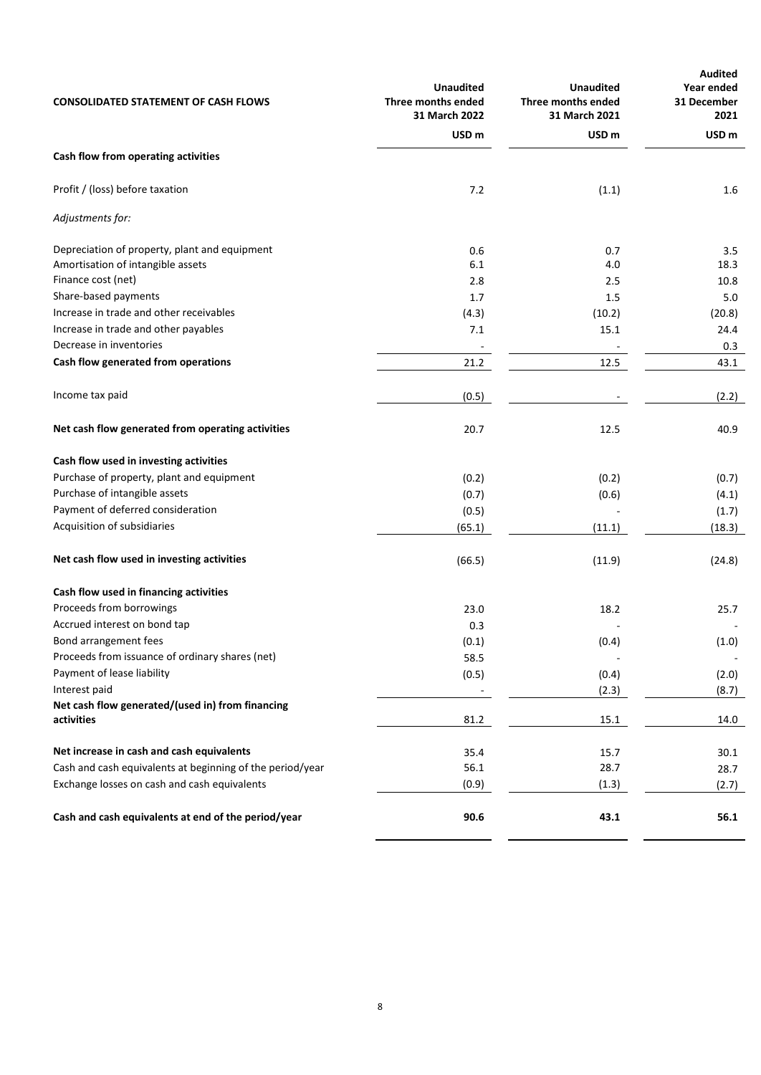| <b>CONSOLIDATED STATEMENT OF CASH FLOWS</b>               | <b>Unaudited</b><br>Three months ended<br>31 March 2022 | <b>Unaudited</b><br>Three months ended<br>31 March 2021 | <b>Audited</b><br>Year ended<br>31 December<br>2021 |
|-----------------------------------------------------------|---------------------------------------------------------|---------------------------------------------------------|-----------------------------------------------------|
|                                                           | USD <sub>m</sub>                                        | USD <sub>m</sub>                                        | USD <sub>m</sub>                                    |
| Cash flow from operating activities                       |                                                         |                                                         |                                                     |
| Profit / (loss) before taxation                           | 7.2                                                     | (1.1)                                                   | 1.6                                                 |
| Adjustments for:                                          |                                                         |                                                         |                                                     |
| Depreciation of property, plant and equipment             | 0.6                                                     | 0.7                                                     | 3.5                                                 |
| Amortisation of intangible assets                         | 6.1                                                     | 4.0                                                     | 18.3                                                |
| Finance cost (net)                                        | 2.8                                                     | 2.5                                                     | 10.8                                                |
| Share-based payments                                      | 1.7                                                     | 1.5                                                     | 5.0                                                 |
| Increase in trade and other receivables                   | (4.3)                                                   | (10.2)                                                  | (20.8)                                              |
| Increase in trade and other payables                      | 7.1                                                     | 15.1                                                    | 24.4                                                |
| Decrease in inventories                                   |                                                         |                                                         | 0.3                                                 |
| Cash flow generated from operations                       | 21.2                                                    | 12.5                                                    | 43.1                                                |
| Income tax paid                                           | (0.5)                                                   |                                                         | (2.2)                                               |
| Net cash flow generated from operating activities         | 20.7                                                    | 12.5                                                    | 40.9                                                |
| Cash flow used in investing activities                    |                                                         |                                                         |                                                     |
| Purchase of property, plant and equipment                 | (0.2)                                                   | (0.2)                                                   | (0.7)                                               |
| Purchase of intangible assets                             | (0.7)                                                   | (0.6)                                                   | (4.1)                                               |
| Payment of deferred consideration                         | (0.5)                                                   |                                                         | (1.7)                                               |
| Acquisition of subsidiaries                               | (65.1)                                                  | (11.1)                                                  | (18.3)                                              |
| Net cash flow used in investing activities                | (66.5)                                                  | (11.9)                                                  | (24.8)                                              |
| Cash flow used in financing activities                    |                                                         |                                                         |                                                     |
| Proceeds from borrowings                                  | 23.0                                                    | 18.2                                                    | 25.7                                                |
| Accrued interest on bond tap                              | 0.3                                                     |                                                         |                                                     |
| Bond arrangement fees                                     | (0.1)                                                   | (0.4)                                                   | (1.0)                                               |
| Proceeds from issuance of ordinary shares (net)           | 58.5                                                    |                                                         |                                                     |
| Payment of lease liability                                | (0.5)                                                   | (0.4)                                                   | (2.0)                                               |
| Interest paid                                             |                                                         | (2.3)                                                   | (8.7)                                               |
| Net cash flow generated/(used in) from financing          |                                                         |                                                         |                                                     |
| activities                                                | 81.2                                                    | 15.1                                                    | 14.0                                                |
| Net increase in cash and cash equivalents                 | 35.4                                                    | 15.7                                                    | 30.1                                                |
| Cash and cash equivalents at beginning of the period/year | 56.1                                                    | 28.7                                                    | 28.7                                                |
| Exchange losses on cash and cash equivalents              | (0.9)                                                   | (1.3)                                                   | (2.7)                                               |
| Cash and cash equivalents at end of the period/year       | 90.6                                                    | 43.1                                                    | 56.1                                                |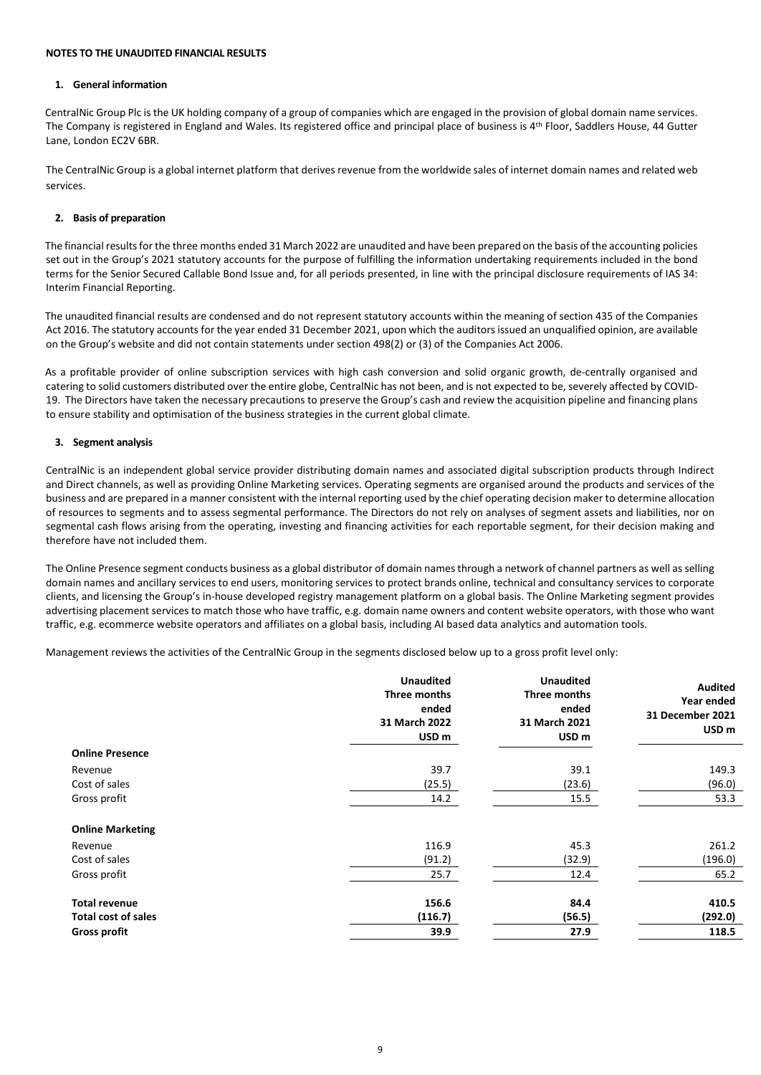## **NOTES TO THE UNAUDITED FINANCIAL RESULTS**

## **1. General information**

CentralNic Group Plc is the UK holding company of a group of companies which are engaged in the provision of global domain name services. The Company is registered in England and Wales. Its registered office and principal place of business is 4<sup>th</sup> Floor, Saddlers House, 44 Gutter Lane, London EC2V 6BR.

The CentralNic Group is a global internet platform that derives revenue from the worldwide sales of internet domain names and related web services.

## **2. Basis of preparation**

The financial results for the three months ended 31 March 2022 are unaudited and have been prepared on the basis of the accounting policies set out in the Group's 2021 statutory accounts for the purpose of fulfilling the information undertaking requirements included in the bond terms for the Senior Secured Callable Bond Issue and, for all periods presented, in line with the principal disclosure requirements of IAS 34: Interim Financial Reporting.

The unaudited financial results are condensed and do not represent statutory accounts within the meaning of section 435 of the Companies Act 2016. The statutory accounts for the year ended 31 December 2021, upon which the auditors issued an unqualified opinion, are available on the Group's website and did not contain statements under section 498(2) or (3) of the Companies Act 2006.

As a profitable provider of online subscription services with high cash conversion and solid organic growth, de-centrally organised and catering to solid customers distributed over the entire globe, CentralNic has not been, and is not expected to be, severely affected by COVID-19. The Directors have taken the necessary precautions to preserve the Group's cash and review the acquisition pipeline and financing plans to ensure stability and optimisation of the business strategies in the current global climate.

# **3. Segment analysis**

CentralNic is an independent global service provider distributing domain names and associated digital subscription products through Indirect and Direct channels, as well as providing Online Marketing services. Operating segments are organised around the products and services of the business and are prepared in a manner consistent with the internal reporting used by the chief operating decision maker to determine allocation of resources to segments and to assess segmental performance. The Directors do not rely on analyses of segment assets and liabilities, nor on segmental cash flows arising from the operating, investing and financing activities for each reportable segment, for their decision making and therefore have not included them.

The Online Presence segment conducts business as a global distributor of domain names through a network of channel partners as well as selling domain names and ancillary services to end users, monitoring services to protect brands online, technical and consultancy services to corporate clients, and licensing the Group's in-house developed registry management platform on a global basis. The Online Marketing segment provides advertising placement services to match those who have traffic, e.g. domain name owners and content website operators, with those who want traffic, e.g. ecommerce website operators and affiliates on a global basis, including AI based data analytics and automation tools.

Management reviews the activities of the CentralNic Group in the segments disclosed below up to a gross profit level only:

|                            | <b>Unaudited</b><br>Three months<br>ended<br>31 March 2022<br>USD <sub>m</sub> | <b>Unaudited</b><br>Three months<br>ended<br>31 March 2021<br>USD <sub>m</sub> | Audited<br>Year ended<br>31 December 2021<br>USD <sub>m</sub> |
|----------------------------|--------------------------------------------------------------------------------|--------------------------------------------------------------------------------|---------------------------------------------------------------|
| <b>Online Presence</b>     |                                                                                |                                                                                |                                                               |
| Revenue                    | 39.7                                                                           | 39.1                                                                           | 149.3                                                         |
| Cost of sales              | (25.5)                                                                         | (23.6)                                                                         | (96.0)                                                        |
| Gross profit               | 14.2                                                                           | 15.5                                                                           | 53.3                                                          |
| <b>Online Marketing</b>    |                                                                                |                                                                                |                                                               |
| Revenue                    | 116.9                                                                          | 45.3                                                                           | 261.2                                                         |
| Cost of sales              | (91.2)                                                                         | (32.9)                                                                         | (196.0)                                                       |
| Gross profit               | 25.7                                                                           | 12.4                                                                           | 65.2                                                          |
| <b>Total revenue</b>       | 156.6                                                                          | 84.4                                                                           | 410.5                                                         |
| <b>Total cost of sales</b> | (116.7)                                                                        | (56.5)                                                                         | (292.0)                                                       |
| <b>Gross profit</b>        | 39.9                                                                           | 27.9                                                                           | 118.5                                                         |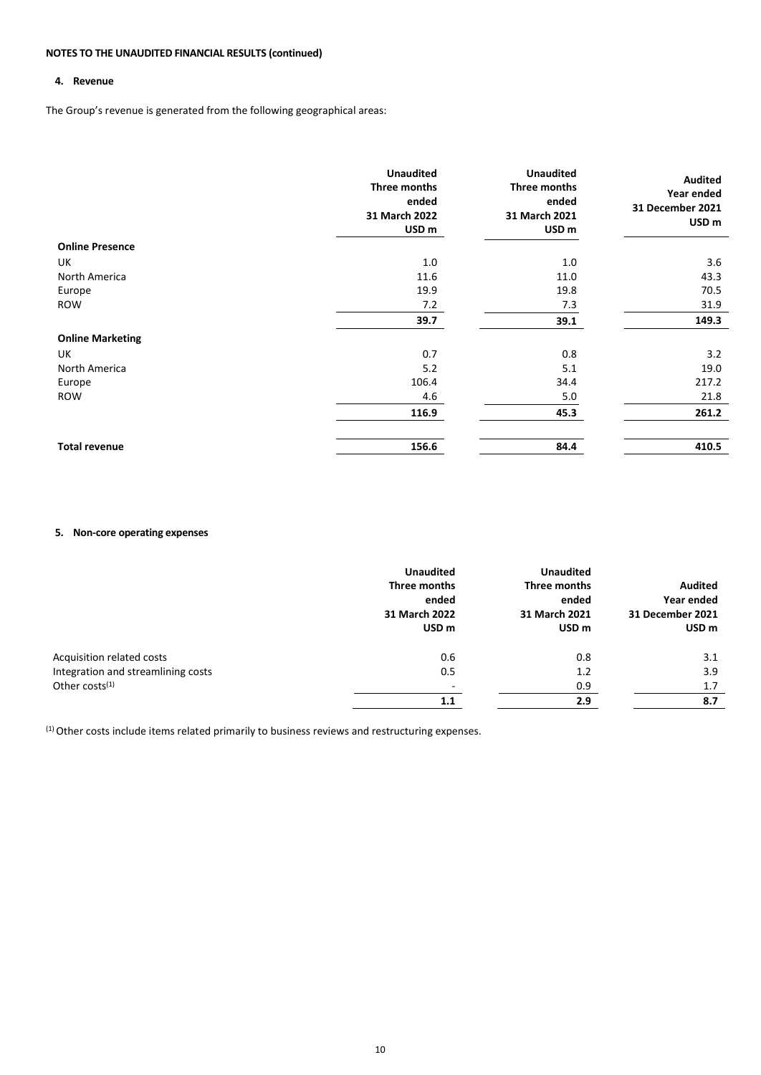# **4. Revenue**

The Group's revenue is generated from the following geographical areas:

|                         | <b>Unaudited</b><br>Three months<br>ended<br>31 March 2022<br>USD <sub>m</sub> | <b>Unaudited</b><br>Three months<br>ended<br>31 March 2021<br>USD <sub>m</sub> | <b>Audited</b><br>Year ended<br>31 December 2021<br>USD <sub>m</sub> |
|-------------------------|--------------------------------------------------------------------------------|--------------------------------------------------------------------------------|----------------------------------------------------------------------|
| <b>Online Presence</b>  |                                                                                |                                                                                |                                                                      |
| UK                      | 1.0                                                                            | 1.0                                                                            | 3.6                                                                  |
| North America           | 11.6                                                                           | 11.0                                                                           | 43.3                                                                 |
| Europe                  | 19.9                                                                           | 19.8                                                                           | 70.5                                                                 |
| ROW                     | 7.2                                                                            | 7.3                                                                            | 31.9                                                                 |
|                         | 39.7                                                                           | 39.1                                                                           | 149.3                                                                |
| <b>Online Marketing</b> |                                                                                |                                                                                |                                                                      |
| UK                      | 0.7                                                                            | 0.8                                                                            | 3.2                                                                  |
| North America           | 5.2                                                                            | 5.1                                                                            | 19.0                                                                 |
| Europe                  | 106.4                                                                          | 34.4                                                                           | 217.2                                                                |
| <b>ROW</b>              | 4.6                                                                            | 5.0                                                                            | 21.8                                                                 |
|                         | 116.9                                                                          | 45.3                                                                           | 261.2                                                                |
| <b>Total revenue</b>    | 156.6                                                                          | 84.4                                                                           | 410.5                                                                |

# **5. Non-core operating expenses**

|                                    | <b>Unaudited</b><br>Three months<br>ended<br>31 March 2022<br>USD <sub>m</sub> | <b>Unaudited</b><br>Three months<br>ended<br>31 March 2021<br>USD <sub>m</sub> | Audited<br>Year ended<br><b>31 December 2021</b><br>USD <sub>m</sub> |
|------------------------------------|--------------------------------------------------------------------------------|--------------------------------------------------------------------------------|----------------------------------------------------------------------|
| Acquisition related costs          | 0.6                                                                            | 0.8                                                                            | 3.1                                                                  |
| Integration and streamlining costs | 0.5                                                                            | 1.2                                                                            | 3.9                                                                  |
| Other costs $(1)$                  | $\overline{\phantom{a}}$                                                       | 0.9                                                                            | 1.7                                                                  |
|                                    | 1.1                                                                            | 2.9                                                                            | 8.7                                                                  |

(1) Other costs include items related primarily to business reviews and restructuring expenses.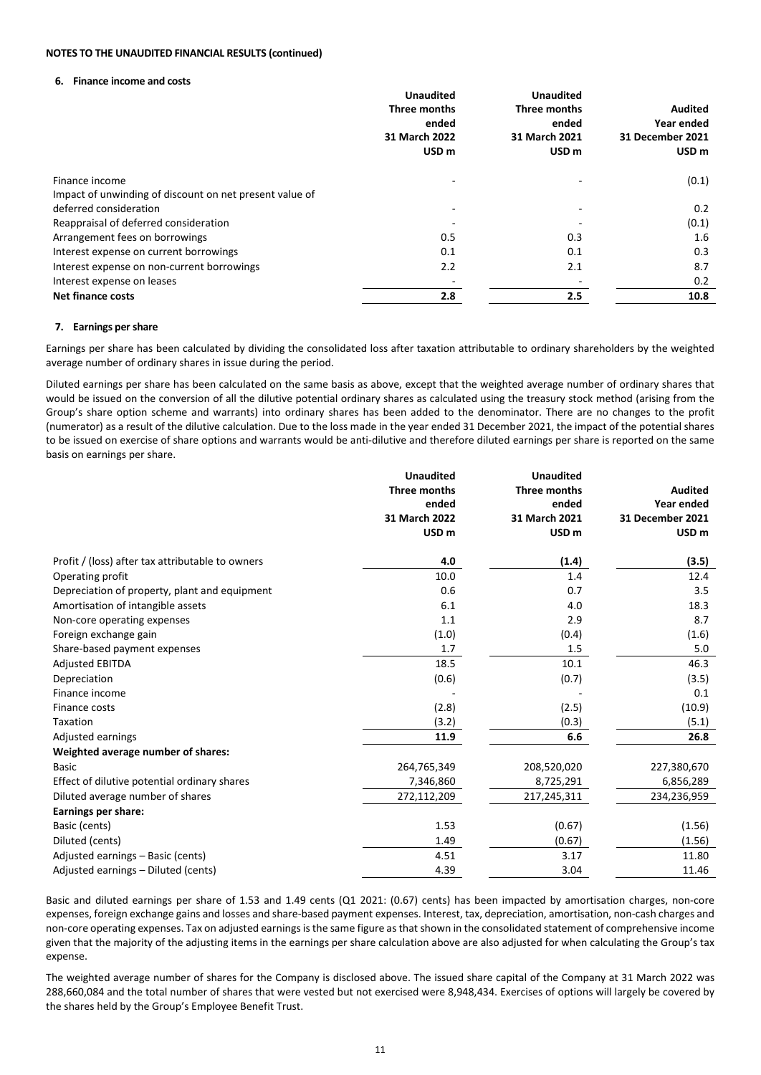## **6. Finance income and costs**

|                                                         | <b>Unaudited</b> | <b>Unaudited</b> |                  |
|---------------------------------------------------------|------------------|------------------|------------------|
|                                                         | Three months     | Three months     | <b>Audited</b>   |
|                                                         | ended            | ended            | Year ended       |
|                                                         | 31 March 2022    | 31 March 2021    | 31 December 2021 |
|                                                         | USD <sub>m</sub> | USD <sub>m</sub> | USD <sub>m</sub> |
| Finance income                                          |                  |                  | (0.1)            |
| Impact of unwinding of discount on net present value of |                  |                  |                  |
| deferred consideration                                  |                  |                  | 0.2              |
| Reappraisal of deferred consideration                   |                  |                  | (0.1)            |
| Arrangement fees on borrowings                          | 0.5              | 0.3              | 1.6              |
| Interest expense on current borrowings                  | 0.1              | 0.1              | 0.3              |
| Interest expense on non-current borrowings              | 2.2              | 2.1              | 8.7              |
| Interest expense on leases                              |                  |                  | 0.2              |
| <b>Net finance costs</b>                                | 2.8              | 2.5              | 10.8             |

# **7. Earnings per share**

Earnings per share has been calculated by dividing the consolidated loss after taxation attributable to ordinary shareholders by the weighted average number of ordinary shares in issue during the period.

Diluted earnings per share has been calculated on the same basis as above, except that the weighted average number of ordinary shares that would be issued on the conversion of all the dilutive potential ordinary shares as calculated using the treasury stock method (arising from the Group's share option scheme and warrants) into ordinary shares has been added to the denominator. There are no changes to the profit (numerator) as a result of the dilutive calculation. Due to the loss made in the year ended 31 December 2021, the impact of the potential shares to be issued on exercise of share options and warrants would be anti-dilutive and therefore diluted earnings per share is reported on the same basis on earnings per share.

|                                                  | <b>Unaudited</b>    | <b>Unaudited</b> |                  |
|--------------------------------------------------|---------------------|------------------|------------------|
|                                                  | <b>Three months</b> | Three months     | <b>Audited</b>   |
|                                                  | ended               | ended            | Year ended       |
|                                                  | 31 March 2022       | 31 March 2021    | 31 December 2021 |
|                                                  | USD <sub>m</sub>    | USD <sub>m</sub> | USD <sub>m</sub> |
| Profit / (loss) after tax attributable to owners | 4.0                 | (1.4)            | (3.5)            |
| Operating profit                                 | 10.0                | 1.4              | 12.4             |
| Depreciation of property, plant and equipment    | 0.6                 | 0.7              | 3.5              |
| Amortisation of intangible assets                | 6.1                 | 4.0              | 18.3             |
| Non-core operating expenses                      | 1.1                 | 2.9              | 8.7              |
| Foreign exchange gain                            | (1.0)               | (0.4)            | (1.6)            |
| Share-based payment expenses                     | 1.7                 | 1.5              | 5.0              |
| <b>Adjusted EBITDA</b>                           | 18.5                | 10.1             | 46.3             |
| Depreciation                                     | (0.6)               | (0.7)            | (3.5)            |
| Finance income                                   |                     |                  | 0.1              |
| Finance costs                                    | (2.8)               | (2.5)            | (10.9)           |
| Taxation                                         | (3.2)               | (0.3)            | (5.1)            |
| Adjusted earnings                                | 11.9                | 6.6              | 26.8             |
| Weighted average number of shares:               |                     |                  |                  |
| <b>Basic</b>                                     | 264,765,349         | 208,520,020      | 227,380,670      |
| Effect of dilutive potential ordinary shares     | 7,346,860           | 8,725,291        | 6,856,289        |
| Diluted average number of shares                 | 272,112,209         | 217,245,311      | 234,236,959      |
| Earnings per share:                              |                     |                  |                  |
| Basic (cents)                                    | 1.53                | (0.67)           | (1.56)           |
| Diluted (cents)                                  | 1.49                | (0.67)           | (1.56)           |
| Adjusted earnings - Basic (cents)                | 4.51                | 3.17             | 11.80            |
| Adjusted earnings - Diluted (cents)              | 4.39                | 3.04             | 11.46            |

Basic and diluted earnings per share of 1.53 and 1.49 cents (Q1 2021: (0.67) cents) has been impacted by amortisation charges, non-core expenses, foreign exchange gains and losses and share-based payment expenses. Interest, tax, depreciation, amortisation, non-cash charges and non-core operating expenses. Tax on adjusted earnings is the same figure as that shown in the consolidated statement of comprehensive income given that the majority of the adjusting items in the earnings per share calculation above are also adjusted for when calculating the Group's tax expense.

The weighted average number of shares for the Company is disclosed above. The issued share capital of the Company at 31 March 2022 was 288,660,084 and the total number of shares that were vested but not exercised were 8,948,434. Exercises of options will largely be covered by the shares held by the Group's Employee Benefit Trust.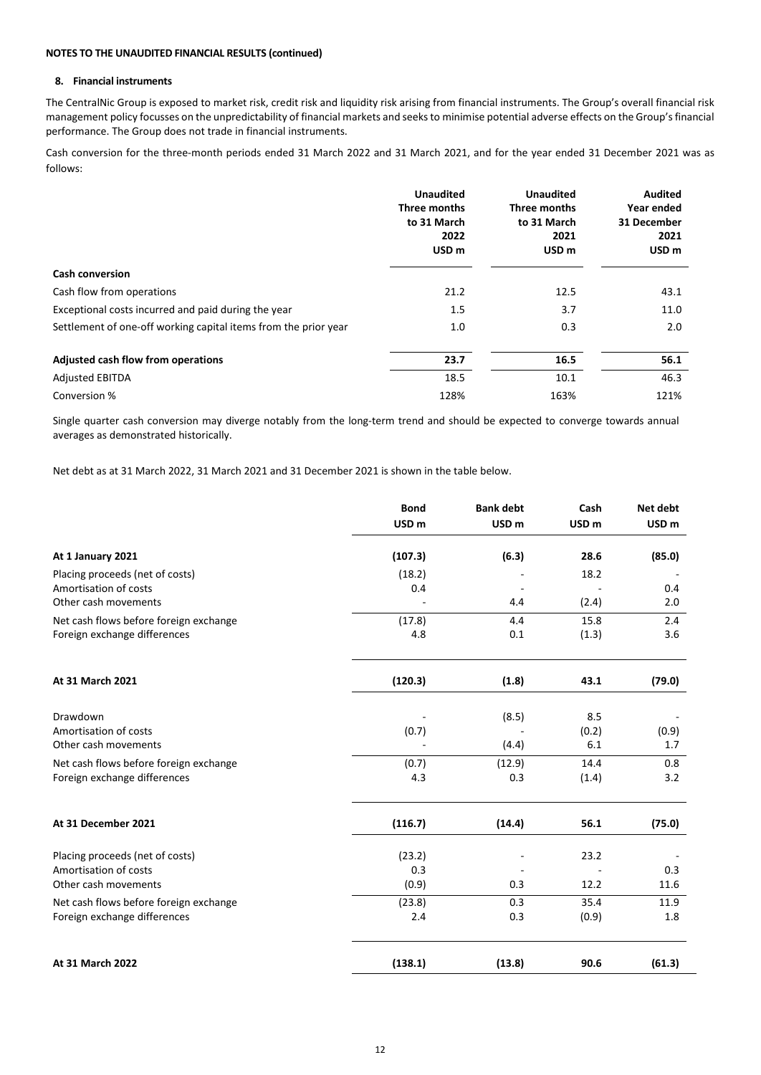### **8. Financial instruments**

The CentralNic Group is exposed to market risk, credit risk and liquidity risk arising from financial instruments. The Group's overall financial risk management policy focusses on the unpredictability of financial markets and seeks to minimise potential adverse effects on the Group's financial performance. The Group does not trade in financial instruments.

Cash conversion for the three-month periods ended 31 March 2022 and 31 March 2021, and for the year ended 31 December 2021 was as follows:

|                                                                 | <b>Unaudited</b><br>Three months<br>to 31 March<br>2022<br>USD <sub>m</sub> | <b>Unaudited</b><br>Three months<br>to 31 March<br>2021<br>USD <sub>m</sub> | <b>Audited</b><br>Year ended<br>31 December<br>2021<br>USD <sub>m</sub> |
|-----------------------------------------------------------------|-----------------------------------------------------------------------------|-----------------------------------------------------------------------------|-------------------------------------------------------------------------|
| <b>Cash conversion</b>                                          |                                                                             |                                                                             |                                                                         |
| Cash flow from operations                                       | 21.2                                                                        | 12.5                                                                        | 43.1                                                                    |
| Exceptional costs incurred and paid during the year             | 1.5                                                                         | 3.7                                                                         | 11.0                                                                    |
| Settlement of one-off working capital items from the prior year | 1.0                                                                         | 0.3                                                                         | 2.0                                                                     |
| Adjusted cash flow from operations                              | 23.7                                                                        | 16.5                                                                        | 56.1                                                                    |
| <b>Adjusted EBITDA</b>                                          | 18.5                                                                        | 10.1                                                                        | 46.3                                                                    |
| Conversion %                                                    | 128%                                                                        | 163%                                                                        | 121%                                                                    |

Single quarter cash conversion may diverge notably from the long-term trend and should be expected to converge towards annual averages as demonstrated historically.

Net debt as at 31 March 2022, 31 March 2021 and 31 December 2021 is shown in the table below.

|                                        | <b>Bond</b>      | <b>Bank debt</b> | Cash             | Net debt         |
|----------------------------------------|------------------|------------------|------------------|------------------|
|                                        | USD <sub>m</sub> | USD <sub>m</sub> | USD <sub>m</sub> | USD <sub>m</sub> |
| At 1 January 2021                      | (107.3)          | (6.3)            | 28.6             | (85.0)           |
| Placing proceeds (net of costs)        | (18.2)           |                  | 18.2             |                  |
| Amortisation of costs                  | 0.4              |                  |                  | 0.4              |
| Other cash movements                   |                  | 4.4              | (2.4)            | 2.0              |
| Net cash flows before foreign exchange | (17.8)           | 4.4              | 15.8             | 2.4              |
| Foreign exchange differences           | 4.8              | 0.1              | (1.3)            | 3.6              |
| At 31 March 2021                       | (120.3)          | (1.8)            | 43.1             | (79.0)           |
| Drawdown                               |                  | (8.5)            | 8.5              |                  |
| Amortisation of costs                  | (0.7)            |                  | (0.2)            | (0.9)            |
| Other cash movements                   |                  | (4.4)            | 6.1              | 1.7              |
| Net cash flows before foreign exchange | (0.7)            | (12.9)           | 14.4             | 0.8              |
| Foreign exchange differences           | 4.3              | 0.3              | (1.4)            | 3.2              |
| At 31 December 2021                    | (116.7)          | (14.4)           | 56.1             | (75.0)           |
| Placing proceeds (net of costs)        | (23.2)           |                  | 23.2             |                  |
| Amortisation of costs                  | 0.3              |                  |                  | 0.3              |
| Other cash movements                   | (0.9)            | 0.3              | 12.2             | 11.6             |
| Net cash flows before foreign exchange | (23.8)           | 0.3              | 35.4             | 11.9             |
| Foreign exchange differences           | 2.4              | 0.3              | (0.9)            | 1.8              |
| At 31 March 2022                       | (138.1)          | (13.8)           | 90.6             | (61.3)           |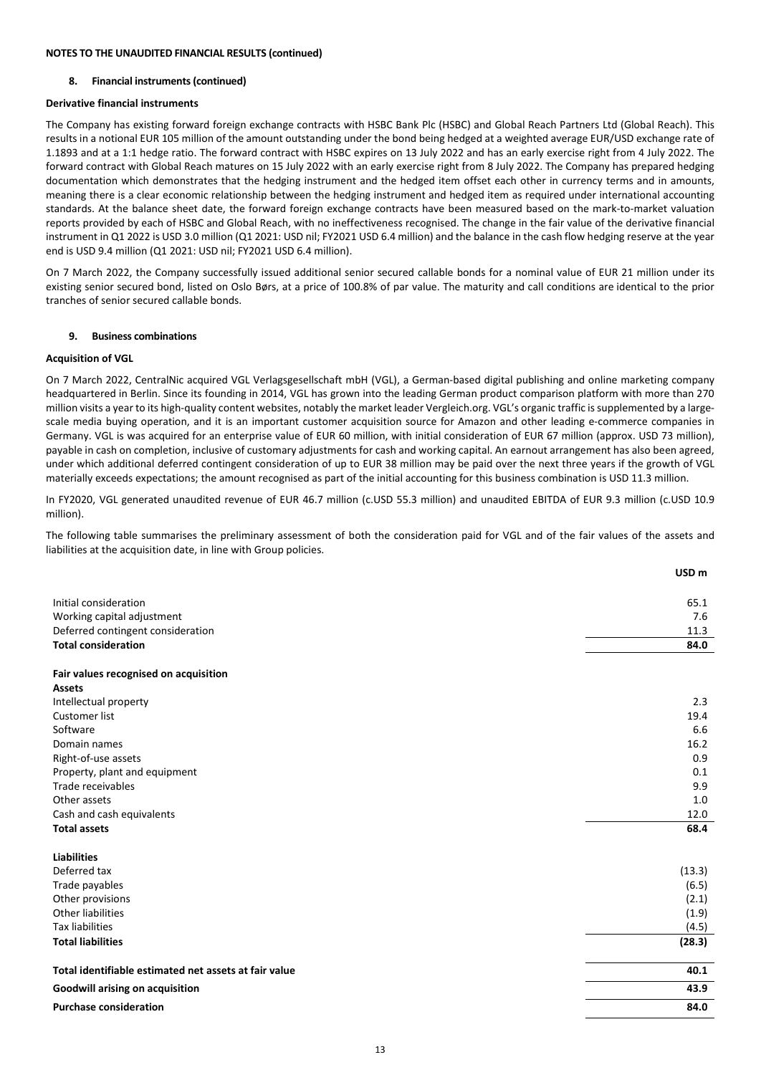## **8. Financial instruments (continued)**

# **Derivative financial instruments**

The Company has existing forward foreign exchange contracts with HSBC Bank Plc (HSBC) and Global Reach Partners Ltd (Global Reach). This results in a notional EUR 105 million of the amount outstanding under the bond being hedged at a weighted average EUR/USD exchange rate of 1.1893 and at a 1:1 hedge ratio. The forward contract with HSBC expires on 13 July 2022 and has an early exercise right from 4 July 2022. The forward contract with Global Reach matures on 15 July 2022 with an early exercise right from 8 July 2022. The Company has prepared hedging documentation which demonstrates that the hedging instrument and the hedged item offset each other in currency terms and in amounts, meaning there is a clear economic relationship between the hedging instrument and hedged item as required under international accounting standards. At the balance sheet date, the forward foreign exchange contracts have been measured based on the mark-to-market valuation reports provided by each of HSBC and Global Reach, with no ineffectiveness recognised. The change in the fair value of the derivative financial instrument in Q1 2022 is USD 3.0 million (Q1 2021: USD nil; FY2021 USD 6.4 million) and the balance in the cash flow hedging reserve at the year end is USD 9.4 million (Q1 2021: USD nil; FY2021 USD 6.4 million).

On 7 March 2022, the Company successfully issued additional senior secured callable bonds for a nominal value of EUR 21 million under its existing senior secured bond, listed on Oslo Børs, at a price of 100.8% of par value. The maturity and call conditions are identical to the prior tranches of senior secured callable bonds.

## **9. Business combinations**

## **Acquisition of VGL**

On 7 March 2022, CentralNic acquired VGL Verlagsgesellschaft mbH (VGL), a German-based digital publishing and online marketing company headquartered in Berlin. Since its founding in 2014, VGL has grown into the leading German product comparison platform with more than 270 million visits a year to its high-quality content websites, notably the market leader Vergleich.org. VGL's organic traffic is supplemented by a largescale media buying operation, and it is an important customer acquisition source for Amazon and other leading e-commerce companies in Germany. VGL is was acquired for an enterprise value of EUR 60 million, with initial consideration of EUR 67 million (approx. USD 73 million), payable in cash on completion, inclusive of customary adjustments for cash and working capital. An earnout arrangement has also been agreed, under which additional deferred contingent consideration of up to EUR 38 million may be paid over the next three years if the growth of VGL materially exceeds expectations; the amount recognised as part of the initial accounting for this business combination is USD 11.3 million.

In FY2020, VGL generated unaudited revenue of EUR 46.7 million (c.USD 55.3 million) and unaudited EBITDA of EUR 9.3 million (c.USD 10.9 million).

The following table summarises the preliminary assessment of both the consideration paid for VGL and of the fair values of the assets and liabilities at the acquisition date, in line with Group policies.

|                                                       | USD <sub>m</sub> |
|-------------------------------------------------------|------------------|
|                                                       |                  |
| Initial consideration                                 | 65.1             |
| Working capital adjustment                            | 7.6              |
| Deferred contingent consideration                     | 11.3             |
| <b>Total consideration</b>                            | 84.0             |
| Fair values recognised on acquisition                 |                  |
| <b>Assets</b>                                         |                  |
| Intellectual property                                 | 2.3              |
| <b>Customer list</b>                                  | 19.4             |
| Software                                              | 6.6              |
| Domain names                                          | 16.2             |
| Right-of-use assets                                   | 0.9              |
| Property, plant and equipment                         | 0.1              |
| Trade receivables                                     | 9.9              |
| Other assets                                          | 1.0              |
| Cash and cash equivalents                             | 12.0             |
| <b>Total assets</b>                                   | 68.4             |
| <b>Liabilities</b>                                    |                  |
| Deferred tax                                          | (13.3)           |
| Trade payables                                        | (6.5)            |
| Other provisions                                      | (2.1)            |
| <b>Other liabilities</b>                              | (1.9)            |
| <b>Tax liabilities</b>                                | (4.5)            |
| <b>Total liabilities</b>                              | (28.3)           |
| Total identifiable estimated net assets at fair value | 40.1             |
| Goodwill arising on acquisition                       | 43.9             |
| <b>Purchase consideration</b>                         | 84.0             |
|                                                       |                  |